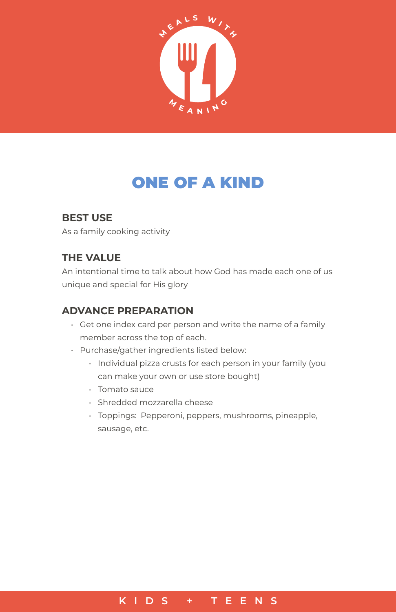

# ONE OF A KIND

## **BEST USE**

As a family cooking activity

## **THE VALUE**

An intentional time to talk about how God has made each one of us unique and special for His glory

## **ADVANCE PREPARATION**

- Get one index card per person and write the name of a family member across the top of each.
- Purchase/gather ingredients listed below:
	- Individual pizza crusts for each person in your family (you can make your own or use store bought)
	- Tomato sauce
	- Shredded mozzarella cheese
	- Toppings: Pepperoni, peppers, mushrooms, pineapple, sausage, etc.

#### **KIDS + TEENS**